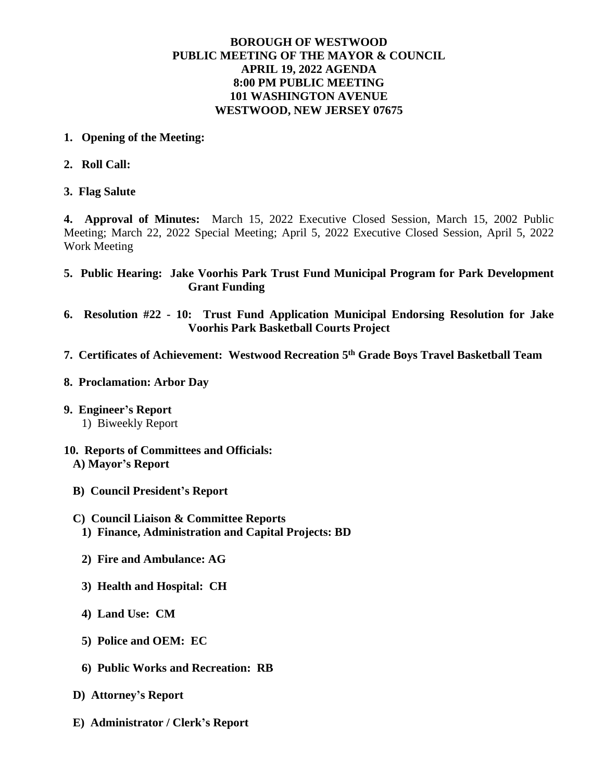## **BOROUGH OF WESTWOOD PUBLIC MEETING OF THE MAYOR & COUNCIL APRIL 19, 2022 AGENDA 8:00 PM PUBLIC MEETING 101 WASHINGTON AVENUE WESTWOOD, NEW JERSEY 07675**

- **1. Opening of the Meeting:**
- **2. Roll Call:**
- **3. Flag Salute**

**4. Approval of Minutes:** March 15, 2022 Executive Closed Session, March 15, 2002 Public Meeting; March 22, 2022 Special Meeting; April 5, 2022 Executive Closed Session, April 5, 2022 Work Meeting

- **5. Public Hearing: Jake Voorhis Park Trust Fund Municipal Program for Park Development Grant Funding**
- **6. Resolution #22 - 10: Trust Fund Application Municipal Endorsing Resolution for Jake Voorhis Park Basketball Courts Project**
- **7. Certificates of Achievement: Westwood Recreation 5th Grade Boys Travel Basketball Team**
- **8. Proclamation: Arbor Day**
- **9. Engineer's Report** 1) Biweekly Report
- **10. Reports of Committees and Officials: A) Mayor's Report**
	- **B) Council President's Report**
	- **C) Council Liaison & Committee Reports 1) Finance, Administration and Capital Projects: BD**
		- **2) Fire and Ambulance: AG**
		- **3) Health and Hospital: CH**
		- **4) Land Use: CM**
		- **5) Police and OEM: EC**
		- **6) Public Works and Recreation: RB**
	- **D) Attorney's Report**
	- **E) Administrator / Clerk's Report**